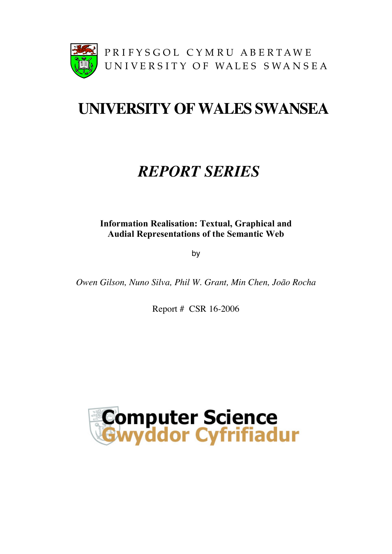

# **UNIVERSITY OFWALES SWANSEA**

## *REPORT SERIES*

**Information Realisation: Textual, Graphical and Audial Representations of the Semantic Web**

by

*Owen Gilson, Nuno Silva, Phil W. Grant, Min Chen, João Rocha*

Report # CSR 16-2006

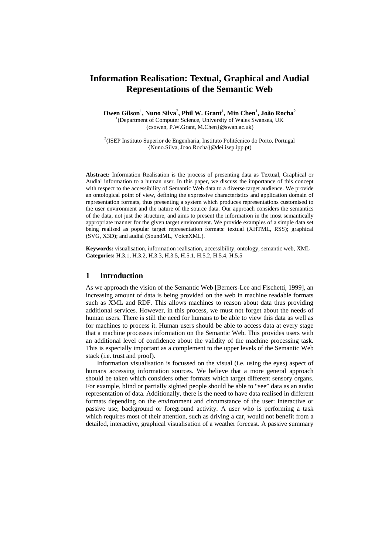### **Information Realisation: Textual, Graphical and Audial Representations of the Semantic Web**

Owen Gilson<sup>1</sup>, Nuno Silva<sup>2</sup>, Phil W. Grant<sup>1</sup>, Min Chen<sup>1</sup>, João Rocha<sup>2</sup> <sup>1</sup>(Department of Computer Science, University of Wales Swansea, UK {csowen, P.W.Grant, M.Chen}@swan.ac.uk)

<sup>2</sup>(ISEP Instituto Superior de Engenharia, Instituto Politécnico do Porto, Portugal {Nuno.Silva, Joao.Rocha}@dei.isep.ipp.pt)

**Abstract:** Information Realisation is the process of presenting data as Textual, Graphical or Audial information to a human user. In this paper, we discuss the importance of this concept with respect to the accessibility of Semantic Web data to a diverse target audience. We provide an ontological point of view, defining the expressive characteristics and application domain of representation formats, thus presenting a system which produces representations customised to the user environment and the nature of the source data. Our approach considers the semantics of the data, not just the structure, and aims to present the information in the most semantically appropriate manner for the given target environment. We provide examples of a simple data set being realised as popular target representation formats: textual (XHTML, RSS); graphical (SVG, X3D); and audial (SoundML, VoiceXML).

**Keywords:** visualisation, information realisation, accessibility, ontology, semantic web, XML **Categories:** H.3.1, H.3.2, H.3.3, H.3.5, H.5.1, H.5.2, H.5.4, H.5.5

#### **1 Introduction**

As we approach the vision of the Semantic Web [Berners-Lee and Fischetti, 1999], an increasing amount of data is being provided on the web in machine readable formats such as XML and RDF. This allows machines to reason about data thus providing additional services. However, in this process, we must not forget about the needs of human users. There is still the need for humans to be able to view this data as well as for machines to process it. Human users should be able to access data at every stage that a machine processes information on the Semantic Web. This provides users with an additional level of confidence about the validity of the machine processing task. This is especially important as a complement to the upper levels of the Semantic Web stack (i.e. trust and proof).

Information visualisation is focussed on the visual (i.e. using the eyes) aspect of humans accessing information sources. We believe that a more general approach should be taken which considers other formats which target different sensory organs. For example, blind or partially sighted people should be able to "see" data as an audio representation of data. Additionally, there is the need to have data realised in different formats depending on the environment and circumstance of the user: interactive or passive use; background or foreground activity. A user who is performing a task which requires most of their attention, such as driving a car, would not benefit from a detailed, interactive, graphical visualisation of a weather forecast. A passive summary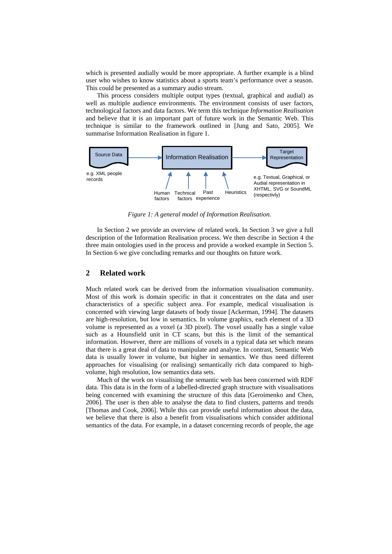which is presented audially would be more appropriate. A further example is a blind user who wishes to know statistics about a sports team's performance over a season. This could be presented as a summary audio stream.

This process considers multiple output types (textual, graphical and audial) as well as multiple audience environments. The environment consists of user factors, technological factors and data factors. We term this technique *Information Realisation* and believe that it is an important part of future work in the Semantic Web. This technique is similar to the framework outlined in [Jung and Sato, 2005]. We summarise Information Realisation in figure 1.



*Figure 1: A general model of Information Realisation.* 

In Section 2 we provide an overview of related work. In Section 3 we give a full description of the Information Realisation process. We then describe in Section 4 the three main ontologies used in the process and provide a worked example in Section 5. In Section 6 we give concluding remarks and our thoughts on future work.

#### **2 Related work**

Much related work can be derived from the information visualisation community. Most of this work is domain specific in that it concentrates on the data and user characteristics of a specific subject area. For example, medical visualisation is concerned with viewing large datasets of body tissue [Ackerman, 1994]. The datasets are high-resolution, but low in semantics. In volume graphics, each element of a 3D volume is represented as a voxel (a 3D pixel). The voxel usually has a single value such as a Hounsfield unit in CT scans, but this is the limit of the semantical information. However, there are millions of voxels in a typical data set which means that there is a great deal of data to manipulate and analyse. In contrast, Semantic Web data is usually lower in volume, but higher in semantics. We thus need different approaches for visualising (or realising) semantically rich data compared to highvolume, high resolution, low semantics data sets.

Much of the work on visualising the semantic web has been concerned with RDF data. This data is in the form of a labelled-directed graph structure with visualisations being concerned with examining the structure of this data [Geroimenko and Chen, 2006]. The user is then able to analyse the data to find clusters, patterns and trends [Thomas and Cook, 2006]. While this can provide useful information about the data, we believe that there is also a benefit from visualisations which consider additional semantics of the data. For example, in a dataset concerning records of people, the age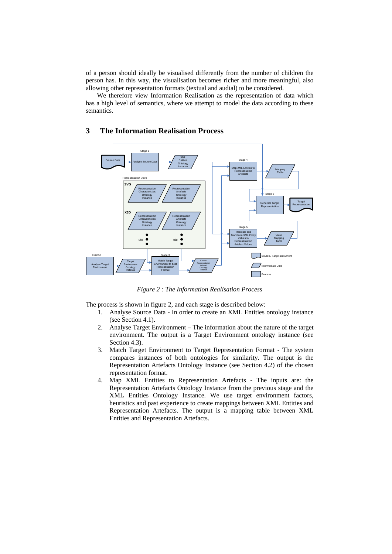of a person should ideally be visualised differently from the number of children the person has. In this way, the visualisation becomes richer and more meaningful, also allowing other representation formats (textual and audial) to be considered.

We therefore view Information Realisation as the representation of data which has a high level of semantics, where we attempt to model the data according to these semantics.

### **3 The Information Realisation Process**



*Figure 2 : The Information Realisation Process* 

The process is shown in figure 2, and each stage is described below:

- 1. Analyse Source Data In order to create an XML Entities ontology instance (see Section 4.1).
- 2. Analyse Target Environment The information about the nature of the target environment. The output is a Target Environment ontology instance (see Section 4.3).
- 3. Match Target Environment to Target Representation Format The system compares instances of both ontologies for similarity. The output is the Representation Artefacts Ontology Instance (see Section 4.2) of the chosen representation format.
- 4. Map XML Entities to Representation Artefacts The inputs are: the Representation Artefacts Ontology Instance from the previous stage and the XML Entities Ontology Instance. We use target environment factors, heuristics and past experience to create mappings between XML Entities and Representation Artefacts. The output is a mapping table between XML Entities and Representation Artefacts.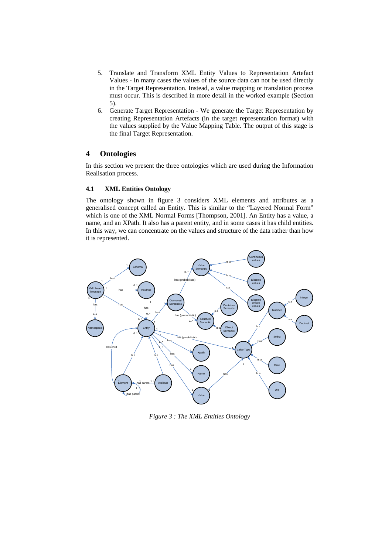- 5. Translate and Transform XML Entity Values to Representation Artefact Values - In many cases the values of the source data can not be used directly in the Target Representation. Instead, a value mapping or translation process must occur. This is described in more detail in the worked example (Section 5).
- 6. Generate Target Representation We generate the Target Representation by creating Representation Artefacts (in the target representation format) with the values supplied by the Value Mapping Table. The output of this stage is the final Target Representation.

### **4 Ontologies**

In this section we present the three ontologies which are used during the Information Realisation process.

#### **4.1 XML Entities Ontology**

The ontology shown in figure 3 considers XML elements and attributes as a generalised concept called an Entity. This is similar to the "Layered Normal Form" which is one of the XML Normal Forms [Thompson, 2001]. An Entity has a value, a name, and an XPath. It also has a parent entity, and in some cases it has child entities. In this way, we can concentrate on the values and structure of the data rather than how it is represented.



*Figure 3 : The XML Entities Ontology*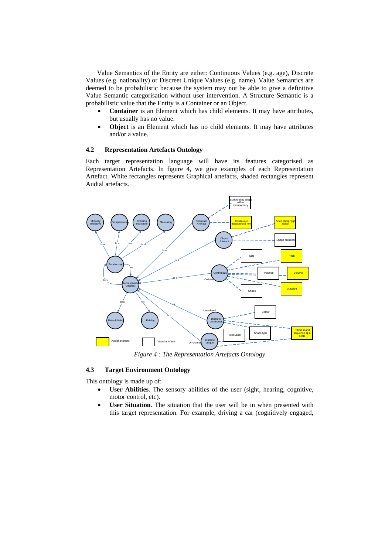Value Semantics of the Entity are either: Continuous Values (e.g. age), Discrete Values (e.g. nationality) or Discreet Unique Values (e.g. name). Value Semantics are deemed to be probabilistic because the system may not be able to give a definitive Value Semantic categorisation without user intervention. A Structure Semantic is a probabilistic value that the Entity is a Container or an Object.

- **Container** is an Element which has child elements. It may have attributes, but usually has no value.
- **Object** is an Element which has no child elements. It may have attributes and/or a value.

#### **4.2 Representation Artefacts Ontology**

Each target representation language will have its features categorised as Representation Artefacts. In figure 4, we give examples of each Representation Artefact. White rectangles represents Graphical artefacts, shaded rectangles represent Audial artefacts.



*Figure 4 : The Representation Artefacts Ontology* 

#### **4.3 Target Environment Ontology**

This ontology is made up of:

- User Abilities. The sensory abilities of the user (sight, hearing, cognitive, motor control, etc).
- **User Situation**. The situation that the user will be in when presented with this target representation. For example, driving a car (cognitively engaged,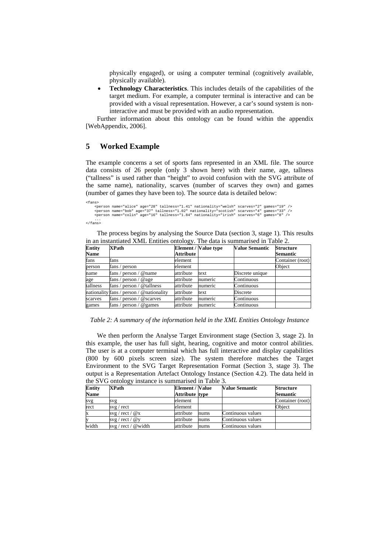physically engaged), or using a computer terminal (cognitively available, physically available).

• **Technology Characteristics**. This includes details of the capabilities of the target medium. For example, a computer terminal is interactive and can be provided with a visual representation. However, a car's sound system is noninteractive and must be provided with an audio representation.

Further information about this ontology can be found within the appendix [WebAppendix, 2006].

#### **5 Worked Example**

The example concerns a set of sports fans represented in an XML file. The source data consists of 26 people (only 3 shown here) with their name, age, tallness ("tallness" is used rather than "height" to avoid confusion with the SVG attribute of the same name), nationality, scarves (number of scarves they own) and games (number of games they have been to). The source data is detailed below:

```
<fans> 
<person name="alice" age="28" tallness="1.41" nationality="welsh" scarves="2" games="19" /> 
<person name="bob" age="37" tallness="1.02" nationality="scotish" scarves="4" games="33" /> 
<person name="colin" age="16" tallness="1.84" nationality="irish" scarves="6" games="8" />
```
... </fans>

The process begins by analysing the Source Data (section 3, stage 1). This results in an instantiated XML Entities ontology. The data is summarised in Table 2.

| Entity<br><b>Name</b> | <b>XPath</b>                             | Attribute | <b>Element / Value type</b> | <b>Value Semantic</b> | <b>Structure</b><br><b>Semantic</b> |
|-----------------------|------------------------------------------|-----------|-----------------------------|-----------------------|-------------------------------------|
| fans                  | fans                                     | element   |                             |                       | Container (root)                    |
| person                | fans /<br>person                         | element   |                             |                       | Object                              |
| name                  | ' person / $@$ name<br>fans /            | attribute | text                        | Discrete unique       |                                     |
| age                   | fans / person / @age                     | attribute | numeric                     | Continuous            |                                     |
| tallness              | fans / person / $@$ tallness             | attribute | numeric                     | Continuous            |                                     |
|                       | nationality fans / person / @nationality | attribute | text                        | Discrete              |                                     |
| scarves               | ' person / $@$ scarves<br>fans /         | attribute | numeric                     | Continuous            |                                     |
| games                 | fans / person / @ games                  | attribute | numeric                     | Continuous            |                                     |

*Table 2: A summary of the information held in the XML Entities Ontology Instance* 

We then perform the Analyse Target Environment stage (Section 3, stage 2). In this example, the user has full sight, hearing, cognitive and motor control abilities. The user is at a computer terminal which has full interactive and display capabilities (800 by 600 pixels screen size). The system therefore matches the Target Environment to the SVG Target Representation Format (Section 3, stage 3). The output is a Representation Artefact Ontology Instance (Section 4.2). The data held in the SVG ontology instance is summarised in Table 3.

| <b>Entity</b><br><b>Name</b> | <b>XPath</b>                                       | <b>Element / Value</b><br>Attribute type |      | <b>Value Semantic</b> | <b>Structure</b><br><b>Semantic</b> |
|------------------------------|----------------------------------------------------|------------------------------------------|------|-----------------------|-------------------------------------|
|                              |                                                    |                                          |      |                       |                                     |
| svg                          | svg                                                | element                                  |      |                       | Container (root)                    |
| rect                         | svg / rect                                         | element                                  |      |                       | Object                              |
| Ιx                           | $\frac{\text{svg}}{\text{rect}}$ / $\mathcal{Q}_X$ | attribute                                | nums | Continuous values     |                                     |
| ly                           | svg / rect / $@y$                                  | attribute                                | nums | Continuous values     |                                     |
| width                        | $\frac{\text{svg}}{\text{rect}}$ / @width          | attribute                                | nums | Continuous values     |                                     |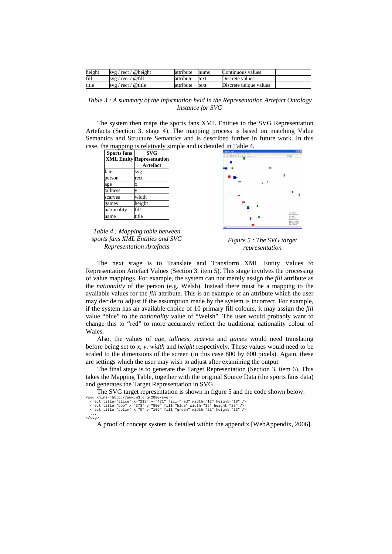| height | svg / rect / @height | attribute | nums | Continuous values      |  |
|--------|----------------------|-----------|------|------------------------|--|
| fill   | svg / rect / @fill   | attribute | text | Discrete values        |  |
| title  | svg / rect / @ title | attribute | text | Discrete unique values |  |

*Table 3 : A summary of the information held in the Representation Artefact Ontology Instance for SVG* 

The system then maps the sports fans XML Entities to the SVG Representation Artefacts (Section 3, stage 4). The mapping process is based on matching Value Semantics and Structure Semantics and is described further in future work. In this case, the mapping is relatively simple and is detailed in Table 4.

| <b>Sports fans</b><br><b>XML Entity</b> | <b>SVG</b><br><b>Representation</b> |
|-----------------------------------------|-------------------------------------|
|                                         | <b>Artefact</b>                     |
| fans                                    | svg                                 |
| person                                  | rect                                |
| age                                     | x                                   |
| tallness                                |                                     |
| scarves                                 | width                               |
| games                                   | height                              |
| nationality                             | fill                                |
| name                                    | title                               |



*Table 4 : Mapping table between sports fans XML Entities and SVG Representation Artefacts* 

*Figure 5 : The SVG target representation* 

The next stage is to Translate and Transform XML Entity Values to Representation Artefact Values (Section 3, item 5). This stage involves the processing of value mappings. For example, the system can not merely assign the *fill* attribute as the *nationality* of the person (e.g. Welsh). Instead there must be a mapping to the available values for the *fill* attribute. This is an example of an attribute which the user may decide to adjust if the assumption made by the system is incorrect. For example, if the system has an available choice of 10 primary fill colours, it may assign the *fill* value "blue" to the *nationality* value of "Welsh". The user would probably want to change this to "red" to more accurately reflect the traditional nationality colour of Wales.

Also, the values of *age, tallness, scarves* and *games* would need translating before being set to *x, y, width* and *height* respectively. These values would need to be scaled to the dimensions of the screen (in this case 800 by 600 pixels). Again, these are settings which the user may wish to adjust after examining the output.

The final stage is to generate the Target Representation (Section 3, item 6). This takes the Mapping Table, together with the original Source Data (the sports fans data) and generates the Target Representation in SVG.

The SVG target representation is shown in figure 5 and the code shown below:

```
%%% xay xands="http://www.w3.org/2000/svg"><br>"crect title="alice" x="213" y="471" fill="red" width="12" height="18" /><br>"crect title="bob" x="373" y="800" fill="blue" width="16" height="25" /><br>"crect title="colin" x="0" y="
```
</svg>

A proof of concept system is detailed within the appendix [WebAppendix, 2006].